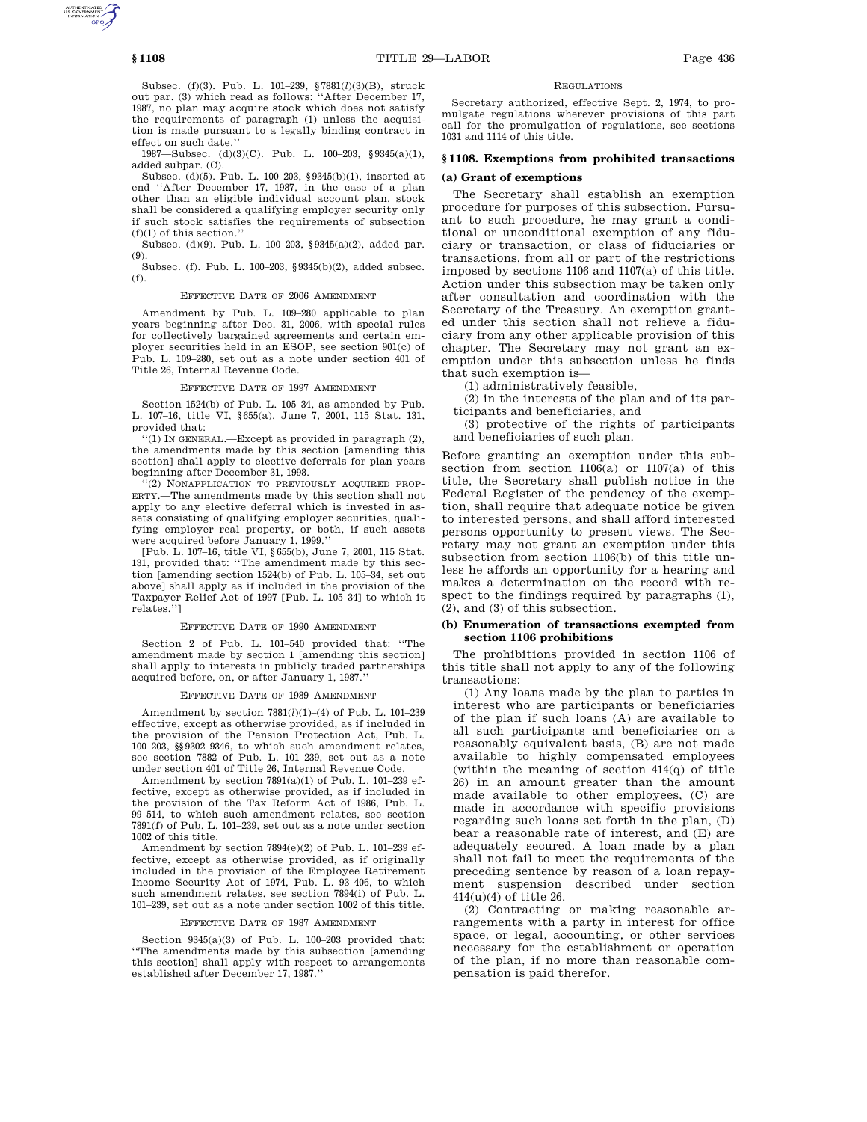Subsec. (f)(3). Pub. L. 101–239, §7881(*l*)(3)(B), struck out par. (3) which read as follows: ''After December 17, 1987, no plan may acquire stock which does not satisfy the requirements of paragraph (1) unless the acquisition is made pursuant to a legally binding contract in effect on such date.''

1987—Subsec. (d)(3)(C). Pub. L. 100–203, §9345(a)(1), added subpar. (C).

Subsec. (d)(5). Pub. L. 100–203, §9345(b)(1), inserted at end ''After December 17, 1987, in the case of a plan other than an eligible individual account plan, stock shall be considered a qualifying employer security only if such stock satisfies the requirements of subsection (f)(1) of this section.''

Subsec. (d)(9). Pub. L. 100–203, §9345(a)(2), added par. (9).

Subsec. (f). Pub. L. 100–203, §9345(b)(2), added subsec. (f).

### EFFECTIVE DATE OF 2006 AMENDMENT

Amendment by Pub. L. 109–280 applicable to plan years beginning after Dec. 31, 2006, with special rules for collectively bargained agreements and certain employer securities held in an ESOP, see section 901(c) of Pub. L. 109–280, set out as a note under section 401 of Title 26, Internal Revenue Code.

EFFECTIVE DATE OF 1997 AMENDMENT

Section 1524(b) of Pub. L. 105–34, as amended by Pub. L. 107–16, title VI, §655(a), June 7, 2001, 115 Stat. 131, provided that:

''(1) IN GENERAL.—Except as provided in paragraph (2), the amendments made by this section [amending this section] shall apply to elective deferrals for plan years beginning after December 31, 1998.

''(2) NONAPPLICATION TO PREVIOUSLY ACQUIRED PROP-ERTY.—The amendments made by this section shall not apply to any elective deferral which is invested in assets consisting of qualifying employer securities, qualifying employer real property, or both, if such assets were acquired before January 1, 1999.''

[Pub. L. 107–16, title VI, §655(b), June 7, 2001, 115 Stat. 131, provided that: ''The amendment made by this section [amending section 1524(b) of Pub. L. 105–34, set out above] shall apply as if included in the provision of the Taxpayer Relief Act of 1997 [Pub. L. 105–34] to which it relates.'']

#### EFFECTIVE DATE OF 1990 AMENDMENT

Section 2 of Pub. L. 101–540 provided that: ''The amendment made by section 1 [amending this section] shall apply to interests in publicly traded partnerships acquired before, on, or after January 1, 1987.''

#### EFFECTIVE DATE OF 1989 AMENDMENT

Amendment by section 7881(*l*)(1)–(4) of Pub. L. 101–239 effective, except as otherwise provided, as if included in the provision of the Pension Protection Act, Pub. L. 100–203, §§9302–9346, to which such amendment relates, see section 7882 of Pub. L. 101–239, set out as a note under section 401 of Title 26, Internal Revenue Code.

Amendment by section 7891(a)(1) of Pub. L. 101–239 effective, except as otherwise provided, as if included in the provision of the Tax Reform Act of 1986, Pub. L. 99–514, to which such amendment relates, see section 7891(f) of Pub. L. 101–239, set out as a note under section 1002 of this title.

Amendment by section 7894(e)(2) of Pub. L. 101–239 effective, except as otherwise provided, as if originally included in the provision of the Employee Retirement Income Security Act of 1974, Pub. L. 93–406, to which such amendment relates, see section 7894(i) of Pub. L. 101–239, set out as a note under section 1002 of this title.

#### EFFECTIVE DATE OF 1987 AMENDMENT

Section 9345(a)(3) of Pub. L. 100–203 provided that: ''The amendments made by this subsection [amending this section] shall apply with respect to arrangements established after December 17, 1987.''

#### REGULATIONS

Secretary authorized, effective Sept. 2, 1974, to promulgate regulations wherever provisions of this part call for the promulgation of regulations, see sections 1031 and 1114 of this title.

#### **§ 1108. Exemptions from prohibited transactions**

### **(a) Grant of exemptions**

The Secretary shall establish an exemption procedure for purposes of this subsection. Pursuant to such procedure, he may grant a conditional or unconditional exemption of any fiduciary or transaction, or class of fiduciaries or transactions, from all or part of the restrictions imposed by sections 1106 and 1107(a) of this title. Action under this subsection may be taken only after consultation and coordination with the Secretary of the Treasury. An exemption granted under this section shall not relieve a fiduciary from any other applicable provision of this chapter. The Secretary may not grant an exemption under this subsection unless he finds that such exemption is—

(1) administratively feasible,

(2) in the interests of the plan and of its participants and beneficiaries, and

(3) protective of the rights of participants and beneficiaries of such plan.

Before granting an exemption under this subsection from section 1106(a) or 1107(a) of this title, the Secretary shall publish notice in the Federal Register of the pendency of the exemption, shall require that adequate notice be given to interested persons, and shall afford interested persons opportunity to present views. The Secretary may not grant an exemption under this subsection from section 1106(b) of this title unless he affords an opportunity for a hearing and makes a determination on the record with respect to the findings required by paragraphs (1), (2), and (3) of this subsection.

### **(b) Enumeration of transactions exempted from section 1106 prohibitions**

The prohibitions provided in section 1106 of this title shall not apply to any of the following transactions:

(1) Any loans made by the plan to parties in interest who are participants or beneficiaries of the plan if such loans (A) are available to all such participants and beneficiaries on a reasonably equivalent basis, (B) are not made available to highly compensated employees (within the meaning of section 414(q) of title 26) in an amount greater than the amount made available to other employees, (C) are made in accordance with specific provisions regarding such loans set forth in the plan, (D) bear a reasonable rate of interest, and (E) are adequately secured. A loan made by a plan shall not fail to meet the requirements of the preceding sentence by reason of a loan repayment suspension described under section 414(u)(4) of title 26.

(2) Contracting or making reasonable arrangements with a party in interest for office space, or legal, accounting, or other services necessary for the establishment or operation of the plan, if no more than reasonable compensation is paid therefor.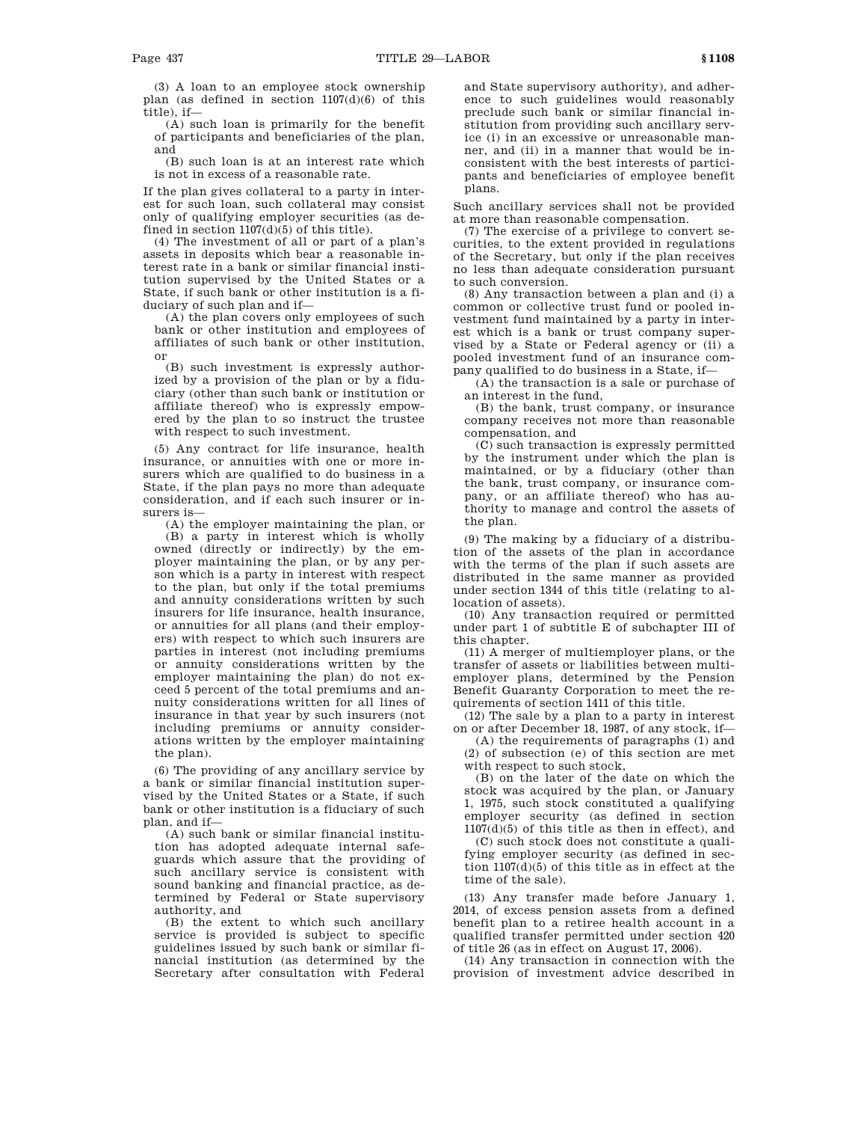(3) A loan to an employee stock ownership plan (as defined in section  $1107(d)(6)$  of this title), if—

(A) such loan is primarily for the benefit of participants and beneficiaries of the plan, and

(B) such loan is at an interest rate which is not in excess of a reasonable rate.

If the plan gives collateral to a party in interest for such loan, such collateral may consist only of qualifying employer securities (as defined in section  $1107(d)(5)$  of this title).

(4) The investment of all or part of a plan's assets in deposits which bear a reasonable interest rate in a bank or similar financial institution supervised by the United States or a State, if such bank or other institution is a fiduciary of such plan and if—

(A) the plan covers only employees of such bank or other institution and employees of affiliates of such bank or other institution, or

(B) such investment is expressly authorized by a provision of the plan or by a fiduciary (other than such bank or institution or affiliate thereof) who is expressly empowered by the plan to so instruct the trustee with respect to such investment.

(5) Any contract for life insurance, health insurance, or annuities with one or more insurers which are qualified to do business in a State, if the plan pays no more than adequate consideration, and if each such insurer or insurers is—

(A) the employer maintaining the plan, or

(B) a party in interest which is wholly owned (directly or indirectly) by the employer maintaining the plan, or by any person which is a party in interest with respect to the plan, but only if the total premiums and annuity considerations written by such insurers for life insurance, health insurance, or annuities for all plans (and their employers) with respect to which such insurers are parties in interest (not including premiums or annuity considerations written by the employer maintaining the plan) do not exceed 5 percent of the total premiums and annuity considerations written for all lines of insurance in that year by such insurers (not including premiums or annuity considerations written by the employer maintaining the plan).

(6) The providing of any ancillary service by a bank or similar financial institution supervised by the United States or a State, if such bank or other institution is a fiduciary of such plan, and if—

(A) such bank or similar financial institution has adopted adequate internal safeguards which assure that the providing of such ancillary service is consistent with sound banking and financial practice, as determined by Federal or State supervisory authority, and

(B) the extent to which such ancillary service is provided is subject to specific guidelines issued by such bank or similar financial institution (as determined by the Secretary after consultation with Federal and State supervisory authority), and adherence to such guidelines would reasonably preclude such bank or similar financial institution from providing such ancillary service (i) in an excessive or unreasonable manner, and (ii) in a manner that would be inconsistent with the best interests of participants and beneficiaries of employee benefit plans.

Such ancillary services shall not be provided at more than reasonable compensation.

(7) The exercise of a privilege to convert securities, to the extent provided in regulations of the Secretary, but only if the plan receives no less than adequate consideration pursuant to such conversion.

(8) Any transaction between a plan and (i) a common or collective trust fund or pooled investment fund maintained by a party in interest which is a bank or trust company supervised by a State or Federal agency or (ii) a pooled investment fund of an insurance company qualified to do business in a State, if—

(A) the transaction is a sale or purchase of an interest in the fund,

(B) the bank, trust company, or insurance company receives not more than reasonable compensation, and

(C) such transaction is expressly permitted by the instrument under which the plan is maintained, or by a fiduciary (other than the bank, trust company, or insurance company, or an affiliate thereof) who has authority to manage and control the assets of the plan.

(9) The making by a fiduciary of a distribution of the assets of the plan in accordance with the terms of the plan if such assets are distributed in the same manner as provided under section 1344 of this title (relating to allocation of assets).

(10) Any transaction required or permitted under part 1 of subtitle E of subchapter III of this chapter.

(11) A merger of multiemployer plans, or the transfer of assets or liabilities between multiemployer plans, determined by the Pension Benefit Guaranty Corporation to meet the requirements of section 1411 of this title.

(12) The sale by a plan to a party in interest on or after December 18, 1987, of any stock, if—

(A) the requirements of paragraphs (1) and (2) of subsection (e) of this section are met

with respect to such stock, (B) on the later of the date on which the stock was acquired by the plan, or January 1, 1975, such stock constituted a qualifying employer security (as defined in section  $1107(d)(5)$  of this title as then in effect), and

(C) such stock does not constitute a qualifying employer security (as defined in section 1107(d)(5) of this title as in effect at the time of the sale).

(13) Any transfer made before January 1, 2014, of excess pension assets from a defined benefit plan to a retiree health account in a qualified transfer permitted under section 420 of title 26 (as in effect on August 17, 2006).

(14) Any transaction in connection with the provision of investment advice described in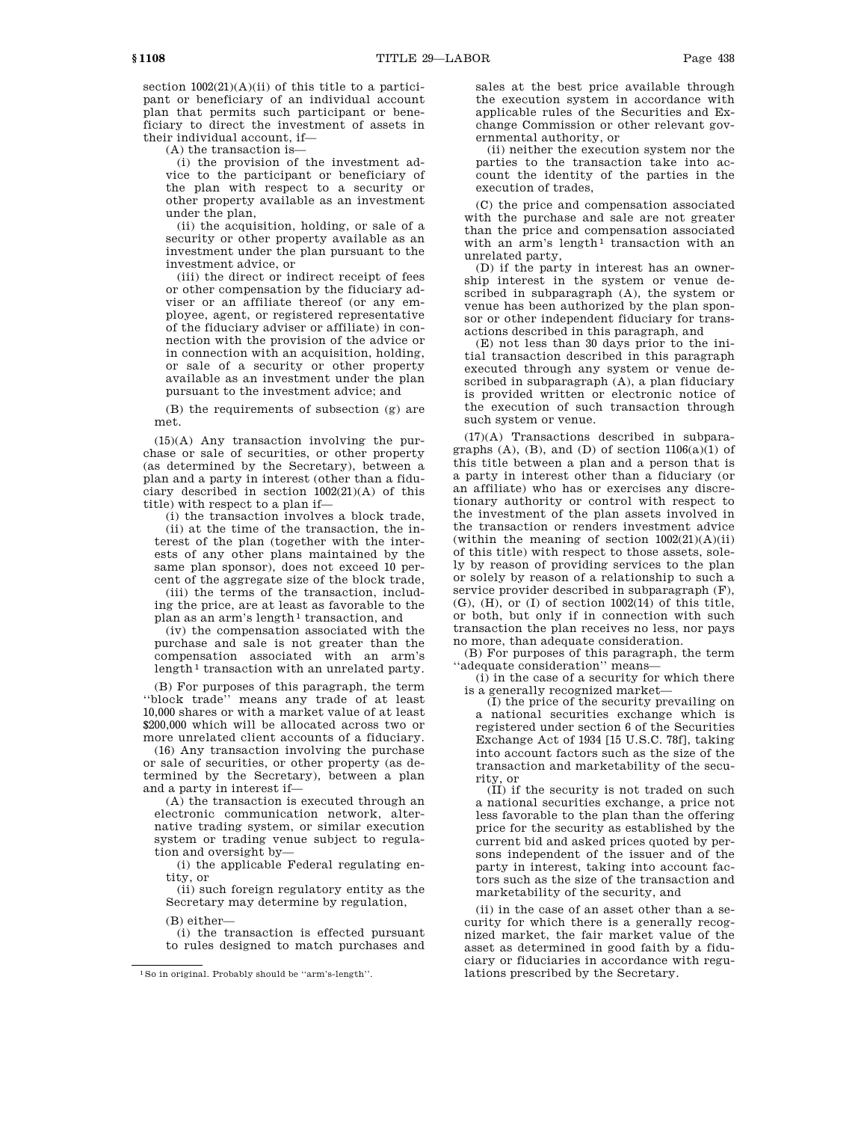section  $1002(21)(A)(ii)$  of this title to a participant or beneficiary of an individual account plan that permits such participant or beneficiary to direct the investment of assets in their individual account, if—

(A) the transaction is—

(i) the provision of the investment advice to the participant or beneficiary of the plan with respect to a security or other property available as an investment under the plan,

(ii) the acquisition, holding, or sale of a security or other property available as an investment under the plan pursuant to the investment advice, or

(iii) the direct or indirect receipt of fees or other compensation by the fiduciary adviser or an affiliate thereof (or any employee, agent, or registered representative of the fiduciary adviser or affiliate) in connection with the provision of the advice or in connection with an acquisition, holding, or sale of a security or other property available as an investment under the plan pursuant to the investment advice; and

(B) the requirements of subsection (g) are met.

(15)(A) Any transaction involving the purchase or sale of securities, or other property (as determined by the Secretary), between a plan and a party in interest (other than a fiduciary described in section 1002(21)(A) of this title) with respect to a plan if—

(i) the transaction involves a block trade,

(ii) at the time of the transaction, the interest of the plan (together with the interests of any other plans maintained by the same plan sponsor), does not exceed 10 percent of the aggregate size of the block trade,

(iii) the terms of the transaction, including the price, are at least as favorable to the plan as an arm's length<sup>1</sup> transaction, and

(iv) the compensation associated with the purchase and sale is not greater than the compensation associated with an arm's length<sup>1</sup> transaction with an unrelated party.

(B) For purposes of this paragraph, the term ''block trade'' means any trade of at least 10,000 shares or with a market value of at least \$200,000 which will be allocated across two or more unrelated client accounts of a fiduciary.

(16) Any transaction involving the purchase or sale of securities, or other property (as determined by the Secretary), between a plan and a party in interest if—

(A) the transaction is executed through an electronic communication network, alternative trading system, or similar execution system or trading venue subject to regulation and oversight by—

(i) the applicable Federal regulating entity, or

(ii) such foreign regulatory entity as the Secretary may determine by regulation,

(B) either—

(i) the transaction is effected pursuant to rules designed to match purchases and

sales at the best price available through the execution system in accordance with applicable rules of the Securities and Exchange Commission or other relevant governmental authority, or

(ii) neither the execution system nor the parties to the transaction take into account the identity of the parties in the execution of trades,

(C) the price and compensation associated with the purchase and sale are not greater than the price and compensation associated with an arm's length<sup>1</sup> transaction with an unrelated party,

(D) if the party in interest has an ownership interest in the system or venue described in subparagraph (A), the system or venue has been authorized by the plan sponsor or other independent fiduciary for transactions described in this paragraph, and

(E) not less than 30 days prior to the initial transaction described in this paragraph executed through any system or venue described in subparagraph (A), a plan fiduciary is provided written or electronic notice of the execution of such transaction through such system or venue.

(17)(A) Transactions described in subparagraphs  $(A)$ ,  $(B)$ , and  $(D)$  of section  $1106(a)(1)$  of this title between a plan and a person that is a party in interest other than a fiduciary (or an affiliate) who has or exercises any discretionary authority or control with respect to the investment of the plan assets involved in the transaction or renders investment advice (within the meaning of section  $1002(21)(A)(ii)$ ) of this title) with respect to those assets, solely by reason of providing services to the plan or solely by reason of a relationship to such a service provider described in subparagraph (F),  $(G)$ ,  $(H)$ , or  $(I)$  of section 1002(14) of this title. or both, but only if in connection with such transaction the plan receives no less, nor pays no more, than adequate consideration.

(B) For purposes of this paragraph, the term ''adequate consideration'' means—

(i) in the case of a security for which there is a generally recognized market—

(I) the price of the security prevailing on a national securities exchange which is registered under section 6 of the Securities Exchange Act of 1934 [15 U.S.C. 78f], taking into account factors such as the size of the transaction and marketability of the security, or

(II) if the security is not traded on such a national securities exchange, a price not less favorable to the plan than the offering price for the security as established by the current bid and asked prices quoted by persons independent of the issuer and of the party in interest, taking into account factors such as the size of the transaction and marketability of the security, and

(ii) in the case of an asset other than a security for which there is a generally recognized market, the fair market value of the asset as determined in good faith by a fiduciary or fiduciaries in accordance with regulations prescribed by the Secretary.

<sup>1</sup>So in original. Probably should be ''arm's-length''.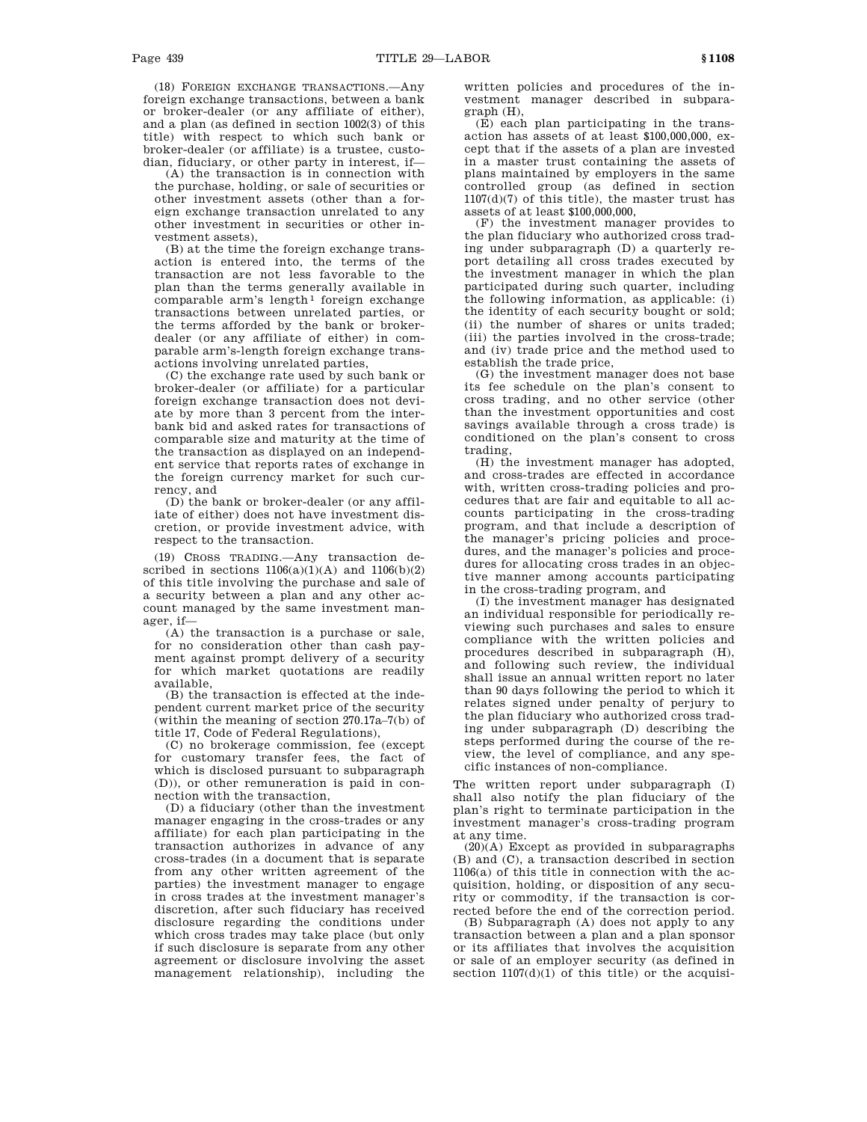(18) FOREIGN EXCHANGE TRANSACTIONS.—Any foreign exchange transactions, between a bank or broker-dealer (or any affiliate of either), and a plan (as defined in section 1002(3) of this title) with respect to which such bank or broker-dealer (or affiliate) is a trustee, custodian, fiduciary, or other party in interest, if—

(A) the transaction is in connection with the purchase, holding, or sale of securities or other investment assets (other than a foreign exchange transaction unrelated to any other investment in securities or other investment assets),

(B) at the time the foreign exchange transaction is entered into, the terms of the transaction are not less favorable to the plan than the terms generally available in comparable arm's length<sup>1</sup> foreign exchange transactions between unrelated parties, or the terms afforded by the bank or brokerdealer (or any affiliate of either) in comparable arm's-length foreign exchange transactions involving unrelated parties,

(C) the exchange rate used by such bank or broker-dealer (or affiliate) for a particular foreign exchange transaction does not deviate by more than 3 percent from the interbank bid and asked rates for transactions of comparable size and maturity at the time of the transaction as displayed on an independent service that reports rates of exchange in the foreign currency market for such currency, and

(D) the bank or broker-dealer (or any affiliate of either) does not have investment discretion, or provide investment advice, with respect to the transaction.

(19) CROSS TRADING.—Any transaction described in sections  $1106(a)(1)(A)$  and  $1106(b)(2)$ of this title involving the purchase and sale of a security between a plan and any other account managed by the same investment manager, if—

(A) the transaction is a purchase or sale, for no consideration other than cash payment against prompt delivery of a security for which market quotations are readily available,

(B) the transaction is effected at the independent current market price of the security (within the meaning of section 270.17a–7(b) of title 17, Code of Federal Regulations),

(C) no brokerage commission, fee (except for customary transfer fees, the fact of which is disclosed pursuant to subparagraph (D)), or other remuneration is paid in connection with the transaction,

(D) a fiduciary (other than the investment manager engaging in the cross-trades or any affiliate) for each plan participating in the transaction authorizes in advance of any cross-trades (in a document that is separate from any other written agreement of the parties) the investment manager to engage in cross trades at the investment manager's discretion, after such fiduciary has received disclosure regarding the conditions under which cross trades may take place (but only if such disclosure is separate from any other agreement or disclosure involving the asset management relationship), including the

written policies and procedures of the investment manager described in subparagraph (H),

(E) each plan participating in the transaction has assets of at least \$100,000,000, except that if the assets of a plan are invested in a master trust containing the assets of plans maintained by employers in the same controlled group (as defined in section 1107(d)(7) of this title), the master trust has assets of at least \$100,000,000,

(F) the investment manager provides to the plan fiduciary who authorized cross trading under subparagraph (D) a quarterly report detailing all cross trades executed by the investment manager in which the plan participated during such quarter, including the following information, as applicable: (i) the identity of each security bought or sold; (ii) the number of shares or units traded; (iii) the parties involved in the cross-trade; and (iv) trade price and the method used to establish the trade price,

(G) the investment manager does not base its fee schedule on the plan's consent to cross trading, and no other service (other than the investment opportunities and cost savings available through a cross trade) is conditioned on the plan's consent to cross trading,

(H) the investment manager has adopted, and cross-trades are effected in accordance with, written cross-trading policies and procedures that are fair and equitable to all accounts participating in the cross-trading program, and that include a description of the manager's pricing policies and procedures, and the manager's policies and procedures for allocating cross trades in an objective manner among accounts participating in the cross-trading program, and

(I) the investment manager has designated an individual responsible for periodically reviewing such purchases and sales to ensure compliance with the written policies and procedures described in subparagraph (H), and following such review, the individual shall issue an annual written report no later than 90 days following the period to which it relates signed under penalty of perjury to the plan fiduciary who authorized cross trading under subparagraph (D) describing the steps performed during the course of the review, the level of compliance, and any specific instances of non-compliance.

The written report under subparagraph (I) shall also notify the plan fiduciary of the plan's right to terminate participation in the investment manager's cross-trading program at any time.

(20)(A) Except as provided in subparagraphs (B) and (C), a transaction described in section 1106(a) of this title in connection with the acquisition, holding, or disposition of any security or commodity, if the transaction is corrected before the end of the correction period.

(B) Subparagraph (A) does not apply to any transaction between a plan and a plan sponsor or its affiliates that involves the acquisition or sale of an employer security (as defined in section  $1107(d)(1)$  of this title) or the acquisi-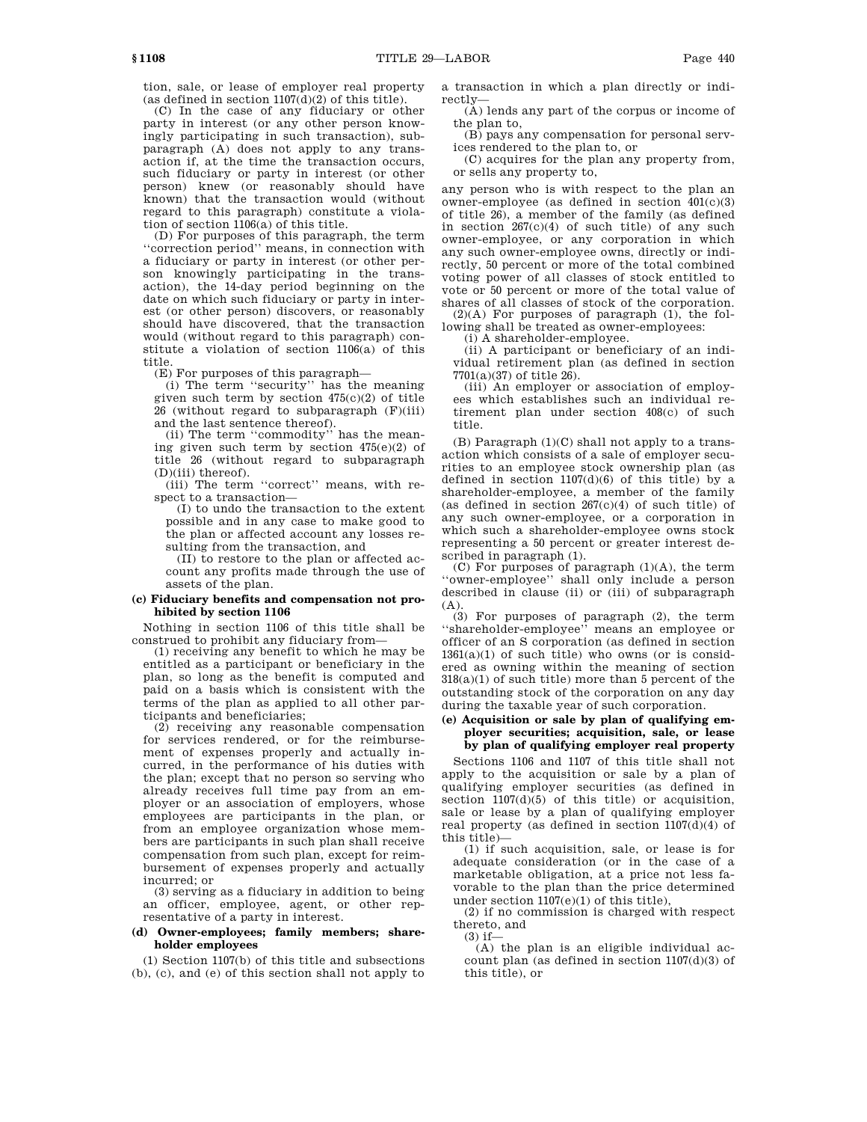tion, sale, or lease of employer real property (as defined in section  $1107(d)(2)$  of this title).

(C) In the case of any fiduciary or other party in interest (or any other person knowingly participating in such transaction), subparagraph (A) does not apply to any transaction if, at the time the transaction occurs, such fiduciary or party in interest (or other person) knew (or reasonably should have known) that the transaction would (without regard to this paragraph) constitute a violation of section 1106(a) of this title.

(D) For purposes of this paragraph, the term ''correction period'' means, in connection with a fiduciary or party in interest (or other person knowingly participating in the transaction), the 14-day period beginning on the date on which such fiduciary or party in interest (or other person) discovers, or reasonably should have discovered, that the transaction would (without regard to this paragraph) constitute a violation of section 1106(a) of this title.

(E) For purposes of this paragraph—

(i) The term ''security'' has the meaning given such term by section 475(c)(2) of title 26 (without regard to subparagraph (F)(iii) and the last sentence thereof).

(ii) The term ''commodity'' has the meaning given such term by section 475(e)(2) of title 26 (without regard to subparagraph (D)(iii) thereof).

(iii) The term ''correct'' means, with respect to a transaction—

(I) to undo the transaction to the extent possible and in any case to make good to the plan or affected account any losses resulting from the transaction, and

(II) to restore to the plan or affected account any profits made through the use of assets of the plan.

### **(c) Fiduciary benefits and compensation not prohibited by section 1106**

Nothing in section 1106 of this title shall be construed to prohibit any fiduciary from—

(1) receiving any benefit to which he may be entitled as a participant or beneficiary in the plan, so long as the benefit is computed and paid on a basis which is consistent with the terms of the plan as applied to all other participants and beneficiaries;

(2) receiving any reasonable compensation for services rendered, or for the reimbursement of expenses properly and actually incurred, in the performance of his duties with the plan; except that no person so serving who already receives full time pay from an employer or an association of employers, whose employees are participants in the plan, or from an employee organization whose members are participants in such plan shall receive compensation from such plan, except for reimbursement of expenses properly and actually incurred; or

(3) serving as a fiduciary in addition to being an officer, employee, agent, or other representative of a party in interest.

## **(d) Owner-employees; family members; shareholder employees**

(1) Section 1107(b) of this title and subsections (b), (c), and (e) of this section shall not apply to a transaction in which a plan directly or indirectly—

(A) lends any part of the corpus or income of the plan to,

(B) pays any compensation for personal services rendered to the plan to, or

(C) acquires for the plan any property from, or sells any property to,

any person who is with respect to the plan an owner-employee (as defined in section 401(c)(3) of title 26), a member of the family (as defined in section  $267(c)(4)$  of such title) of any such owner-employee, or any corporation in which any such owner-employee owns, directly or indirectly, 50 percent or more of the total combined voting power of all classes of stock entitled to vote or 50 percent or more of the total value of shares of all classes of stock of the corporation.

(2)(A) For purposes of paragraph (1), the following shall be treated as owner-employees:

(i) A shareholder-employee.

(ii) A participant or beneficiary of an individual retirement plan (as defined in section 7701(a)(37) of title 26).

(iii) An employer or association of employees which establishes such an individual retirement plan under section 408(c) of such title.

(B) Paragraph (1)(C) shall not apply to a transaction which consists of a sale of employer securities to an employee stock ownership plan (as defined in section 1107(d)(6) of this title) by a shareholder-employee, a member of the family (as defined in section 267(c)(4) of such title) of any such owner-employee, or a corporation in which such a shareholder-employee owns stock representing a 50 percent or greater interest described in paragraph (1).

(C) For purposes of paragraph (1)(A), the term ''owner-employee'' shall only include a person described in clause (ii) or (iii) of subparagraph  $(A)$ .

(3) For purposes of paragraph (2), the term ''shareholder-employee'' means an employee or officer of an S corporation (as defined in section  $1361(a)(1)$  of such title) who owns (or is considered as owning within the meaning of section 318(a)(1) of such title) more than 5 percent of the outstanding stock of the corporation on any day during the taxable year of such corporation.

### **(e) Acquisition or sale by plan of qualifying employer securities; acquisition, sale, or lease by plan of qualifying employer real property**

Sections 1106 and 1107 of this title shall not apply to the acquisition or sale by a plan of qualifying employer securities (as defined in section  $1107(d)(5)$  of this title) or acquisition, sale or lease by a plan of qualifying employer real property (as defined in section 1107(d)(4) of this title)—

(1) if such acquisition, sale, or lease is for adequate consideration (or in the case of a marketable obligation, at a price not less favorable to the plan than the price determined under section 1107(e)(1) of this title),

(2) if no commission is charged with respect thereto, and

(3) if—

(A) the plan is an eligible individual account plan (as defined in section 1107(d)(3) of this title), or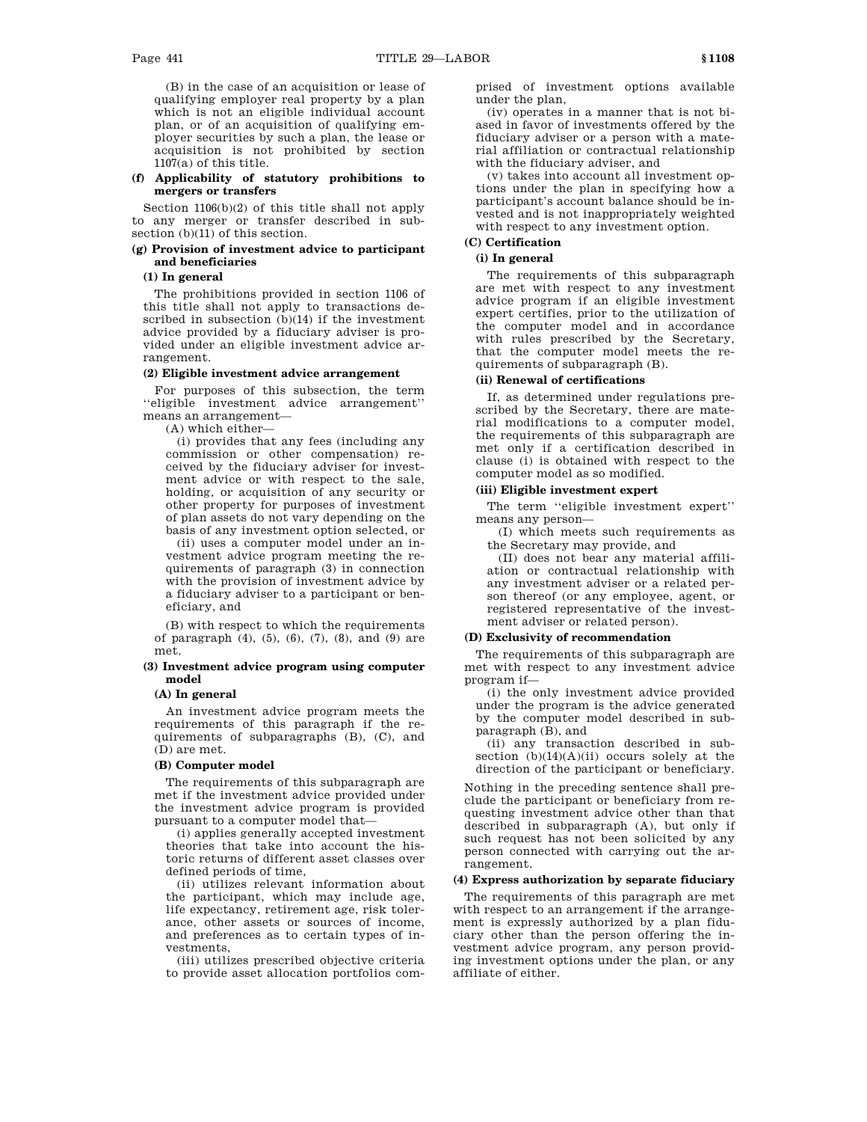(B) in the case of an acquisition or lease of qualifying employer real property by a plan which is not an eligible individual account plan, or of an acquisition of qualifying employer securities by such a plan, the lease or acquisition is not prohibited by section 1107(a) of this title.

### **(f) Applicability of statutory prohibitions to mergers or transfers**

Section 1106(b)(2) of this title shall not apply to any merger or transfer described in subsection (b)(11) of this section.

## **(g) Provision of investment advice to participant and beneficiaries**

# **(1) In general**

The prohibitions provided in section 1106 of this title shall not apply to transactions described in subsection (b)(14) if the investment advice provided by a fiduciary adviser is provided under an eligible investment advice arrangement.

# **(2) Eligible investment advice arrangement**

For purposes of this subsection, the term ''eligible investment advice arrangement'' means an arrangement—

(A) which either—

(i) provides that any fees (including any commission or other compensation) received by the fiduciary adviser for investment advice or with respect to the sale, holding, or acquisition of any security or other property for purposes of investment of plan assets do not vary depending on the basis of any investment option selected, or

(ii) uses a computer model under an investment advice program meeting the requirements of paragraph (3) in connection with the provision of investment advice by a fiduciary adviser to a participant or beneficiary, and

(B) with respect to which the requirements of paragraph (4), (5), (6), (7), (8), and (9) are met.

### **(3) Investment advice program using computer model**

### **(A) In general**

An investment advice program meets the requirements of this paragraph if the requirements of subparagraphs (B), (C), and (D) are met.

### **(B) Computer model**

The requirements of this subparagraph are met if the investment advice provided under the investment advice program is provided pursuant to a computer model that—

(i) applies generally accepted investment theories that take into account the historic returns of different asset classes over defined periods of time,

(ii) utilizes relevant information about the participant, which may include age, life expectancy, retirement age, risk tolerance, other assets or sources of income, and preferences as to certain types of investments,

(iii) utilizes prescribed objective criteria to provide asset allocation portfolios comprised of investment options available under the plan,

(iv) operates in a manner that is not biased in favor of investments offered by the fiduciary adviser or a person with a material affiliation or contractual relationship with the fiduciary adviser, and

(v) takes into account all investment options under the plan in specifying how a participant's account balance should be invested and is not inappropriately weighted with respect to any investment option.

# **(C) Certification**

# **(i) In general**

The requirements of this subparagraph are met with respect to any investment advice program if an eligible investment expert certifies, prior to the utilization of the computer model and in accordance with rules prescribed by the Secretary, that the computer model meets the requirements of subparagraph (B).

### **(ii) Renewal of certifications**

If, as determined under regulations prescribed by the Secretary, there are material modifications to a computer model, the requirements of this subparagraph are met only if a certification described in clause (i) is obtained with respect to the computer model as so modified.

### **(iii) Eligible investment expert**

The term ''eligible investment expert'' means any person—

(I) which meets such requirements as the Secretary may provide, and

(II) does not bear any material affiliation or contractual relationship with any investment adviser or a related person thereof (or any employee, agent, or registered representative of the investment adviser or related person).

### **(D) Exclusivity of recommendation**

The requirements of this subparagraph are met with respect to any investment advice program if—

(i) the only investment advice provided under the program is the advice generated by the computer model described in subparagraph (B), and

(ii) any transaction described in subsection  $(b)(14)(A)(ii)$  occurs solely at the direction of the participant or beneficiary.

Nothing in the preceding sentence shall preclude the participant or beneficiary from requesting investment advice other than that described in subparagraph (A), but only if such request has not been solicited by any person connected with carrying out the arrangement.

# **(4) Express authorization by separate fiduciary**

The requirements of this paragraph are met with respect to an arrangement if the arrangement is expressly authorized by a plan fiduciary other than the person offering the investment advice program, any person providing investment options under the plan, or any affiliate of either.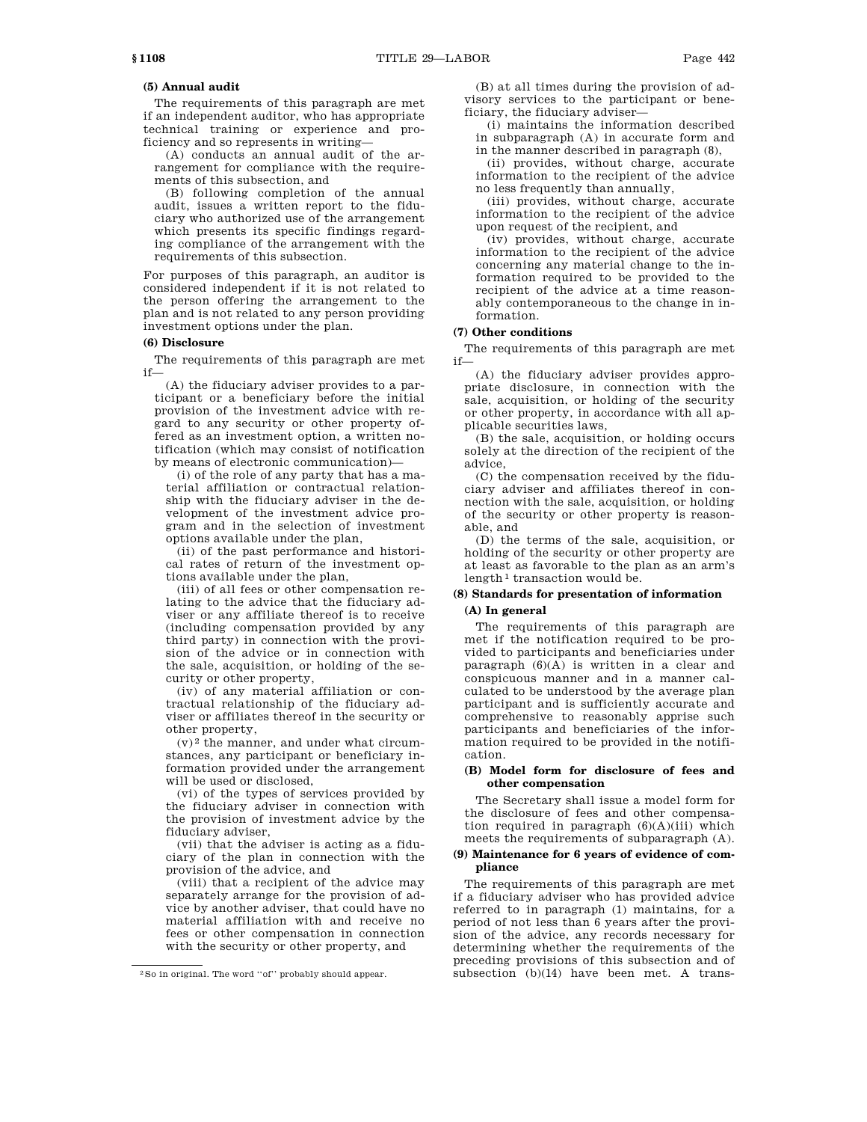# **(5) Annual audit**

The requirements of this paragraph are met if an independent auditor, who has appropriate technical training or experience and proficiency and so represents in writing—

(A) conducts an annual audit of the arrangement for compliance with the requirements of this subsection, and

(B) following completion of the annual audit, issues a written report to the fiduciary who authorized use of the arrangement which presents its specific findings regarding compliance of the arrangement with the requirements of this subsection.

For purposes of this paragraph, an auditor is considered independent if it is not related to the person offering the arrangement to the plan and is not related to any person providing investment options under the plan.

### **(6) Disclosure**

The requirements of this paragraph are met if—

(A) the fiduciary adviser provides to a participant or a beneficiary before the initial provision of the investment advice with regard to any security or other property offered as an investment option, a written notification (which may consist of notification by means of electronic communication)—

(i) of the role of any party that has a material affiliation or contractual relationship with the fiduciary adviser in the development of the investment advice program and in the selection of investment options available under the plan,

(ii) of the past performance and historical rates of return of the investment options available under the plan,

(iii) of all fees or other compensation relating to the advice that the fiduciary adviser or any affiliate thereof is to receive (including compensation provided by any third party) in connection with the provision of the advice or in connection with the sale, acquisition, or holding of the security or other property,

(iv) of any material affiliation or contractual relationship of the fiduciary adviser or affiliates thereof in the security or other property,

 $(v)$ <sup>2</sup> the manner, and under what circumstances, any participant or beneficiary information provided under the arrangement will be used or disclosed,

(vi) of the types of services provided by the fiduciary adviser in connection with the provision of investment advice by the fiduciary adviser,

(vii) that the adviser is acting as a fiduciary of the plan in connection with the provision of the advice, and

(viii) that a recipient of the advice may separately arrange for the provision of advice by another adviser, that could have no material affiliation with and receive no fees or other compensation in connection with the security or other property, and

(B) at all times during the provision of advisory services to the participant or beneficiary, the fiduciary adviser—

(i) maintains the information described in subparagraph (A) in accurate form and in the manner described in paragraph (8),

(ii) provides, without charge, accurate information to the recipient of the advice no less frequently than annually,

(iii) provides, without charge, accurate information to the recipient of the advice upon request of the recipient, and

(iv) provides, without charge, accurate information to the recipient of the advice concerning any material change to the information required to be provided to the recipient of the advice at a time reasonably contemporaneous to the change in information.

# **(7) Other conditions**

The requirements of this paragraph are met if—

(A) the fiduciary adviser provides appropriate disclosure, in connection with the sale, acquisition, or holding of the security or other property, in accordance with all applicable securities laws,

(B) the sale, acquisition, or holding occurs solely at the direction of the recipient of the advice,

(C) the compensation received by the fiduciary adviser and affiliates thereof in connection with the sale, acquisition, or holding of the security or other property is reasonable, and

(D) the terms of the sale, acquisition, or holding of the security or other property are at least as favorable to the plan as an arm's length<sup>1</sup> transaction would be.

## **(8) Standards for presentation of information (A) In general**

The requirements of this paragraph are met if the notification required to be provided to participants and beneficiaries under paragraph  $(6)(A)$  is written in a clear and conspicuous manner and in a manner calculated to be understood by the average plan participant and is sufficiently accurate and comprehensive to reasonably apprise such participants and beneficiaries of the information required to be provided in the notification.

### **(B) Model form for disclosure of fees and other compensation**

The Secretary shall issue a model form for the disclosure of fees and other compensation required in paragraph  $(6)(A)(iii)$  which meets the requirements of subparagraph (A).

### **(9) Maintenance for 6 years of evidence of compliance**

The requirements of this paragraph are met if a fiduciary adviser who has provided advice referred to in paragraph (1) maintains, for a period of not less than 6 years after the provision of the advice, any records necessary for determining whether the requirements of the preceding provisions of this subsection and of subsection (b)(14) have been met. A trans-

<sup>2</sup>So in original. The word ''of'' probably should appear.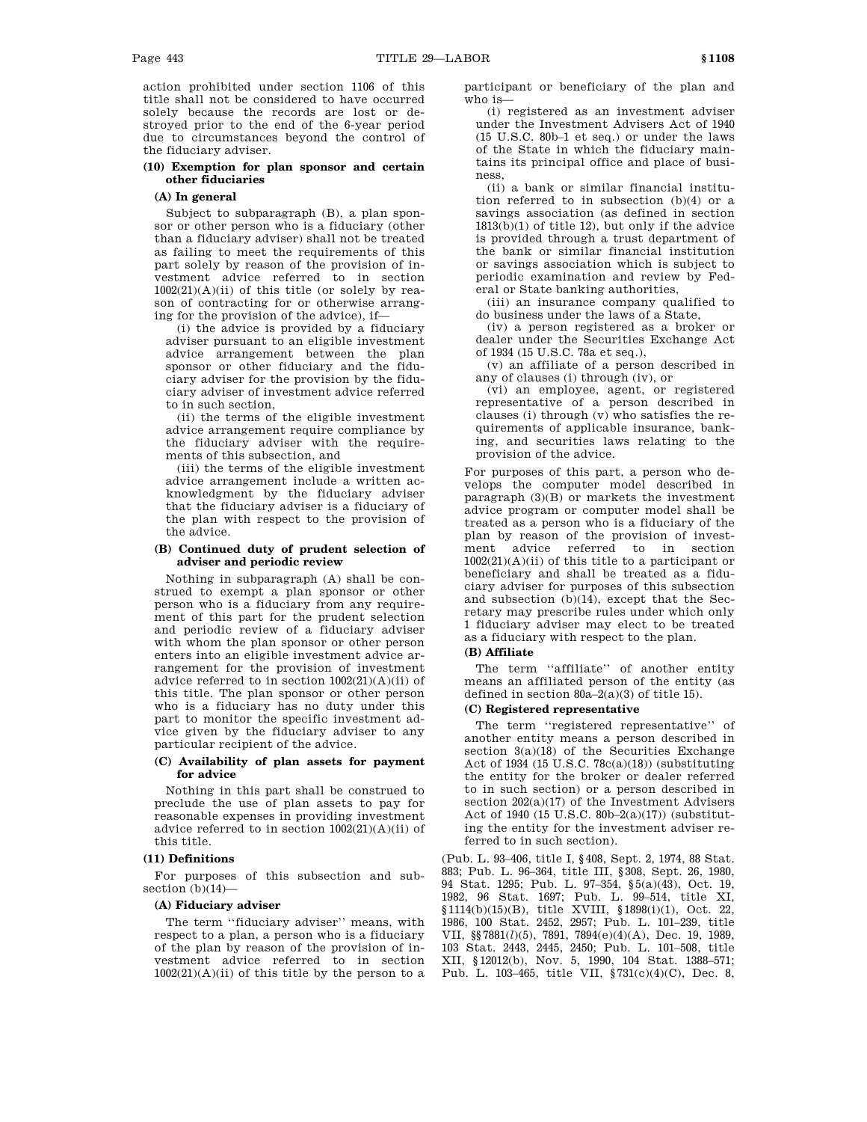action prohibited under section 1106 of this title shall not be considered to have occurred solely because the records are lost or destroyed prior to the end of the 6-year period due to circumstances beyond the control of the fiduciary adviser.

### **(10) Exemption for plan sponsor and certain other fiduciaries**

### **(A) In general**

Subject to subparagraph (B), a plan sponsor or other person who is a fiduciary (other than a fiduciary adviser) shall not be treated as failing to meet the requirements of this part solely by reason of the provision of investment advice referred to in section  $1002(21)(A)(ii)$  of this title (or solely by reason of contracting for or otherwise arranging for the provision of the advice), if—

(i) the advice is provided by a fiduciary adviser pursuant to an eligible investment advice arrangement between the plan sponsor or other fiduciary and the fiduciary adviser for the provision by the fiduciary adviser of investment advice referred to in such section,

(ii) the terms of the eligible investment advice arrangement require compliance by the fiduciary adviser with the requirements of this subsection, and

(iii) the terms of the eligible investment advice arrangement include a written acknowledgment by the fiduciary adviser that the fiduciary adviser is a fiduciary of the plan with respect to the provision of the advice.

### **(B) Continued duty of prudent selection of adviser and periodic review**

Nothing in subparagraph (A) shall be construed to exempt a plan sponsor or other person who is a fiduciary from any requirement of this part for the prudent selection and periodic review of a fiduciary adviser with whom the plan sponsor or other person enters into an eligible investment advice arrangement for the provision of investment advice referred to in section  $1002(21)(A)(ii)$  of this title. The plan sponsor or other person who is a fiduciary has no duty under this part to monitor the specific investment advice given by the fiduciary adviser to any particular recipient of the advice.

### **(C) Availability of plan assets for payment for advice**

Nothing in this part shall be construed to preclude the use of plan assets to pay for reasonable expenses in providing investment advice referred to in section  $1002(21)(A)(ii)$  of this title.

### **(11) Definitions**

For purposes of this subsection and subsection  $(b)(14)$ -

### **(A) Fiduciary adviser**

The term ''fiduciary adviser'' means, with respect to a plan, a person who is a fiduciary of the plan by reason of the provision of investment advice referred to in section  $1002(21)(A)(ii)$  of this title by the person to a participant or beneficiary of the plan and who is—

(i) registered as an investment adviser under the Investment Advisers Act of 1940 (15 U.S.C. 80b–1 et seq.) or under the laws of the State in which the fiduciary maintains its principal office and place of business,

(ii) a bank or similar financial institution referred to in subsection (b)(4) or a savings association (as defined in section 1813(b)(1) of title 12), but only if the advice is provided through a trust department of the bank or similar financial institution or savings association which is subject to periodic examination and review by Federal or State banking authorities,

(iii) an insurance company qualified to do business under the laws of a State,

(iv) a person registered as a broker or dealer under the Securities Exchange Act of 1934 (15 U.S.C. 78a et seq.),

(v) an affiliate of a person described in any of clauses (i) through (iv), or

(vi) an employee, agent, or registered representative of a person described in clauses (i) through  $(v)$  who satisfies the requirements of applicable insurance, banking, and securities laws relating to the provision of the advice.

For purposes of this part, a person who develops the computer model described in paragraph (3)(B) or markets the investment advice program or computer model shall be treated as a person who is a fiduciary of the plan by reason of the provision of investment advice referred to in section  $1002(21)(A)(ii)$  of this title to a participant or beneficiary and shall be treated as a fiduciary adviser for purposes of this subsection and subsection (b)(14), except that the Secretary may prescribe rules under which only 1 fiduciary adviser may elect to be treated as a fiduciary with respect to the plan.

# **(B) Affiliate**

The term "affiliate" of another entity means an affiliated person of the entity (as defined in section  $80a-2(a)(3)$  of title 15).

### **(C) Registered representative**

The term ''registered representative'' of another entity means a person described in section  $3(a)(18)$  of the Securities Exchange Act of 1934 (15 U.S.C. 78c(a)(18)) (substituting the entity for the broker or dealer referred to in such section) or a person described in section  $202(a)(17)$  of the Investment Advisers Act of 1940 (15 U.S.C. 80b–2(a)(17)) (substituting the entity for the investment adviser referred to in such section).

(Pub. L. 93–406, title I, §408, Sept. 2, 1974, 88 Stat. 883; Pub. L. 96–364, title III, §308, Sept. 26, 1980, 94 Stat. 1295; Pub. L. 97–354, §5(a)(43), Oct. 19, 1982, 96 Stat. 1697; Pub. L. 99–514, title XI, §1114(b)(15)(B), title XVIII, §1898(i)(1), Oct. 22, 1986, 100 Stat. 2452, 2957; Pub. L. 101–239, title VII, §§7881(*l*)(5), 7891, 7894(e)(4)(A), Dec. 19, 1989, 103 Stat. 2443, 2445, 2450; Pub. L. 101–508, title XII, §12012(b), Nov. 5, 1990, 104 Stat. 1388–571; Pub. L. 103–465, title VII, §731(c)(4)(C), Dec. 8,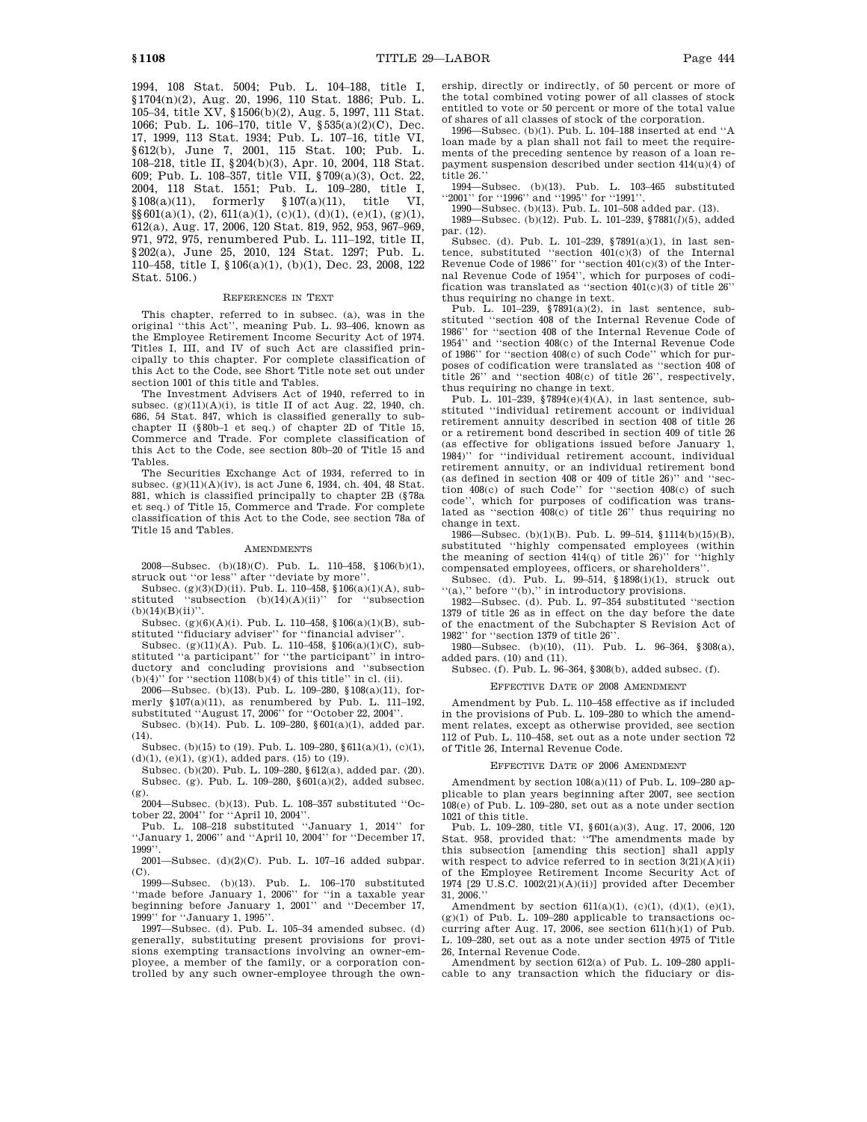1994, 108 Stat. 5004; Pub. L. 104–188, title I, §1704(n)(2), Aug. 20, 1996, 110 Stat. 1886; Pub. L. 105–34, title XV, §1506(b)(2), Aug. 5, 1997, 111 Stat. 1066; Pub. L. 106–170, title V, §535(a)(2)(C), Dec. 17, 1999, 113 Stat. 1934; Pub. L. 107–16, title VI, §612(b), June 7, 2001, 115 Stat. 100; Pub. L. 108–218, title II, §204(b)(3), Apr. 10, 2004, 118 Stat. 609; Pub. L. 108–357, title VII, §709(a)(3), Oct. 22, 2004, 118 Stat. 1551; Pub. L. 109–280, title I,  $$108(a)(11)$ , formerly  $$107(a)(11)$ , title  $\frac{1}{2}$ §§601(a)(1), (2), 611(a)(1), (c)(1), (d)(1), (e)(1), (g)(1), 612(a), Aug. 17, 2006, 120 Stat. 819, 952, 953, 967–969, 971, 972, 975, renumbered Pub. L. 111–192, title II, §202(a), June 25, 2010, 124 Stat. 1297; Pub. L. 110–458, title I, §106(a)(1), (b)(1), Dec. 23, 2008, 122 Stat. 5106.)

#### REFERENCES IN TEXT

This chapter, referred to in subsec. (a), was in the original ''this Act'', meaning Pub. L. 93–406, known as the Employee Retirement Income Security Act of 1974. Titles I, III, and IV of such Act are classified principally to this chapter. For complete classification of this Act to the Code, see Short Title note set out under section 1001 of this title and Tables.

The Investment Advisers Act of 1940, referred to in subsec. (g)(11)(A)(i), is title II of act Aug. 22, 1940, ch. 686, 54 Stat. 847, which is classified generally to subchapter II (§80b–1 et seq.) of chapter 2D of Title 15, Commerce and Trade. For complete classification of this Act to the Code, see section 80b–20 of Title 15 and Tables.

The Securities Exchange Act of 1934, referred to in subsec. (g)(11)(A)(iv), is act June 6, 1934, ch. 404, 48 Stat. 881, which is classified principally to chapter 2B (§78a et seq.) of Title 15, Commerce and Trade. For complete classification of this Act to the Code, see section 78a of Title 15 and Tables.

#### AMENDMENTS

2008—Subsec. (b)(18)(C). Pub. L. 110–458, §106(b)(1), struck out ''or less'' after ''deviate by more''.

Subsec.  $(g)(3)(D)(ii)$ . Pub. L. 110–458, §106(a)(1)(A), substituted "subsection  $(b)(14)(A)(ii)$ " for "subsection  $(b)(14)(B)(ii)$ 

Subsec. (g)(6)(A)(i). Pub. L. 110–458, §106(a)(1)(B), substituted "fiduciary adviser" for "financial adviser".

Subsec.  $(g)(11)(A)$ . Pub. L. 110–458, §106(a)(1)(C), substituted ''a participant'' for ''the participant'' in introductory and concluding provisions and ''subsection (b)(4)'' for "section  $1108(b)(4)$  of this title" in cl. (ii).

2006—Subsec. (b)(13). Pub. L. 109–280, §108(a)(11), formerly §107(a)(11), as renumbered by Pub. L. 111–192, substituted ''August 17, 2006'' for ''October 22, 2004''.

Subsec. (b)(14). Pub. L. 109–280, §601(a)(1), added par. (14).

Subsec. (b)(15) to (19). Pub. L. 109-280, §611(a)(1), (c)(1),  $(d)(1), (e)(1), (g)(1),$  added pars. (15) to (19).

Subsec. (b)(20). Pub. L. 109–280, §612(a), added par. (20). Subsec. (g). Pub. L. 109–280, §601(a)(2), added subsec. (g).

2004—Subsec. (b)(13). Pub. L. 108–357 substituted ''October 22, 2004'' for ''April 10, 2004''.

Pub. L. 108–218 substituted ''January 1, 2014'' for ''January 1, 2006'' and ''April 10, 2004'' for ''December 17, 1999''.

2001—Subsec. (d)(2)(C). Pub. L. 107–16 added subpar.  $(C).$ 

1999—Subsec. (b)(13). Pub. L. 106–170 substituted ''made before January 1, 2006'' for ''in a taxable year beginning before January 1, 2001'' and ''December 17, 1999'' for ''January 1, 1995''.

1997—Subsec. (d). Pub. L. 105–34 amended subsec. (d) generally, substituting present provisions for provisions exempting transactions involving an owner-employee, a member of the family, or a corporation controlled by any such owner-employee through the ownership, directly or indirectly, of 50 percent or more of the total combined voting power of all classes of stock entitled to vote or 50 percent or more of the total value of shares of all classes of stock of the corporation.

1996—Subsec. (b)(1). Pub. L. 104–188 inserted at end ''A loan made by a plan shall not fail to meet the requirements of the preceding sentence by reason of a loan repayment suspension described under section 414(u)(4) of title 26.''

1994—Subsec. (b)(13). Pub. L. 103–465 substituted ''2001'' for ''1996'' and ''1995'' for ''1991''.

1990—Subsec. (b)(13). Pub. L. 101–508 added par. (13). 1989—Subsec. (b)(12). Pub. L. 101–239, §7881(*l*)(5), added par. (12).

Subsec. (d). Pub. L. 101–239, §7891(a)(1), in last sentence, substituted ''section 401(c)(3) of the Internal Revenue Code of 1986'' for ''section 401(c)(3) of the Internal Revenue Code of 1954'', which for purposes of codification was translated as "section  $401(c)(3)$  of title  $26$ " thus requiring no change in text.

Pub. L. 101–239, §7891(a)(2), in last sentence, substituted ''section 408 of the Internal Revenue Code of 1986'' for ''section 408 of the Internal Revenue Code of 1954'' and ''section 408(c) of the Internal Revenue Code of 1986'' for ''section 408(c) of such Code'' which for purposes of codification were translated as ''section 408 of title 26'' and ''section 408(c) of title 26'', respectively, thus requiring no change in text.

Pub. L. 101-239,  $$789\overline{4}(e)(4)(A)$ , in last sentence, substituted ''individual retirement account or individual retirement annuity described in section 408 of title 26 or a retirement bond described in section 409 of title 26 (as effective for obligations issued before January 1, 1984)'' for ''individual retirement account, individual retirement annuity, or an individual retirement bond (as defined in section 408 or 409 of title 26)'' and ''section 408(c) of such Code'' for ''section 408(c) of such code'', which for purposes of codification was translated as ''section 408(c) of title 26'' thus requiring no change in text.

1986—Subsec. (b)(1)(B). Pub. L. 99–514, §1114(b)(15)(B), substituted ''highly compensated employees (within the meaning of section  $414(q)$  of title  $26$ <sup>"</sup> for "highly" compensated employees, officers, or shareholders''.

Subsec. (d). Pub. L. 99–514, §1898(i)(1), struck out ''(a),'' before ''(b),'' in introductory provisions.

1982—Subsec. (d). Pub. L. 97–354 substituted ''section 1379 of title 26 as in effect on the day before the date of the enactment of the Subchapter S Revision Act of 1982'' for ''section 1379 of title 26''.

1980—Subsec. (b)(10), (11). Pub. L. 96–364, §308(a), added pars. (10) and (11).

Subsec. (f). Pub. L. 96–364, §308(b), added subsec. (f).

#### EFFECTIVE DATE OF 2008 AMENDMENT

Amendment by Pub. L. 110–458 effective as if included in the provisions of Pub. L. 109–280 to which the amendment relates, except as otherwise provided, see section 112 of Pub. L. 110–458, set out as a note under section 72 of Title 26, Internal Revenue Code.

### EFFECTIVE DATE OF 2006 AMENDMENT

Amendment by section 108(a)(11) of Pub. L. 109–280 applicable to plan years beginning after 2007, see section 108(e) of Pub. L. 109–280, set out as a note under section 1021 of this title.

Pub. L. 109–280, title VI, §601(a)(3), Aug. 17, 2006, 120 Stat. 958, provided that: ''The amendments made by this subsection [amending this section] shall apply with respect to advice referred to in section  $3(21)(A)(ii)$ of the Employee Retirement Income Security Act of 1974 [29 U.S.C. 1002(21)(A)(ii)] provided after December 31, 2006.''

Amendment by section  $611(a)(1)$ ,  $(c)(1)$ ,  $(d)(1)$ ,  $(e)(1)$ ,  $(g)(1)$  of Pub. L. 109-280 applicable to transactions occurring after Aug. 17, 2006, see section 611(h)(1) of Pub. L. 109–280, set out as a note under section 4975 of Title 26, Internal Revenue Code.

Amendment by section 612(a) of Pub. L. 109–280 applicable to any transaction which the fiduciary or dis-